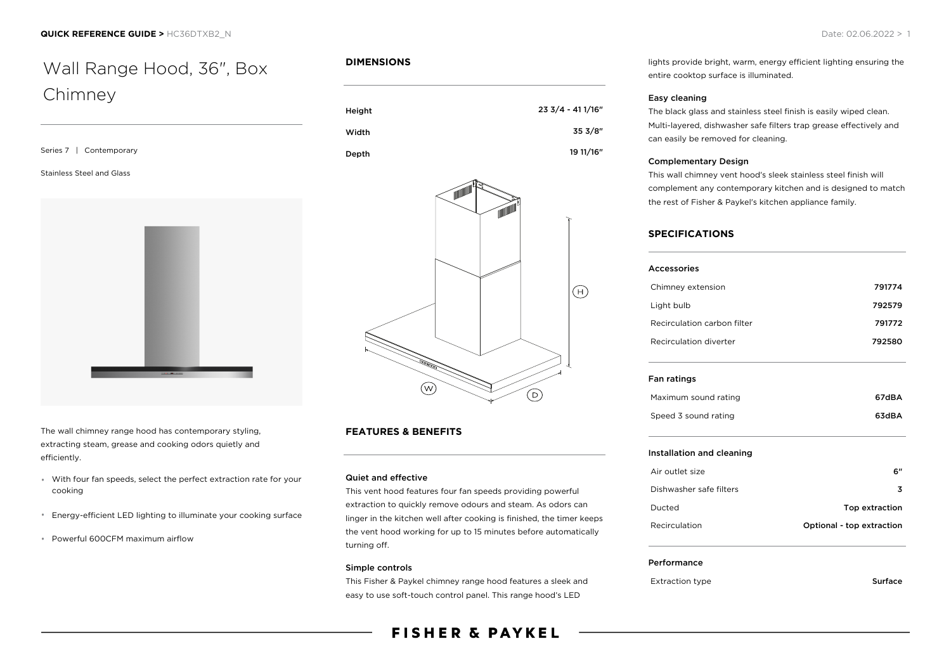# Wall Range Hood, 36", Box Chimney

Series 7 | Contemporary

#### Stainless Steel and Glass



The wall chimney range hood has contemporary styling, extracting steam, grease and cooking odors quietly and efficiently.

- With four fan speeds, select the perfect extraction rate for your cooking
- Energy-efficient LED lighting to illuminate your cooking surface
- Powerful 600CFM maximum airflow

# **DIMENSIONS**

| Height | 23 3/4 - 41 1/16" |
|--------|-------------------|
| Width  | 35 3/8"           |
| Depth  | 19 11/16"         |



# **FEATURES & BENEFITS**

# Quiet and effective

This vent hood features four fan speeds providing powerful extraction to quickly remove odours and steam. As odors can linger in the kitchen well after cooking is finished, the timer keeps the vent hood working for up to 15 minutes before automatically turning off.

#### Simple controls

This Fisher & Paykel chimney range hood features a sleek and easy to use soft-touch control panel. This range hood's LED

# **FISHER & PAYKEL**

lights provide bright, warm, energy efficient lighting ensuring the entire cooktop surface is illuminated.

#### Easy cleaning

The black glass and stainless steel finish is easily wiped clean. Multi-layered, dishwasher safe filters trap grease effectively and can easily be removed for cleaning.

#### Complementary Design

This wall chimney vent hood's sleek stainless steel finish will complement any contemporary kitchen and is designed to match the rest of Fisher & Paykel's kitchen appliance family.

#### **SPECIFICATIONS**

| Accessories                 |        |
|-----------------------------|--------|
| Chimney extension           | 791774 |
| Light bulb                  | 792579 |
| Recirculation carbon filter | 791772 |
| Recirculation diverter      | 792580 |
| Fan ratings                 |        |
| Maximum sound rating        | 67dBA  |

#### Installation and cleaning

| Air outlet size         | 6"                        |
|-------------------------|---------------------------|
| Dishwasher safe filters | 3                         |
| Ducted                  | Top extraction            |
| <b>Recirculation</b>    | Optional - top extraction |

Speed 3 sound rating 63dBA

#### Performance

Extraction type **Surface**